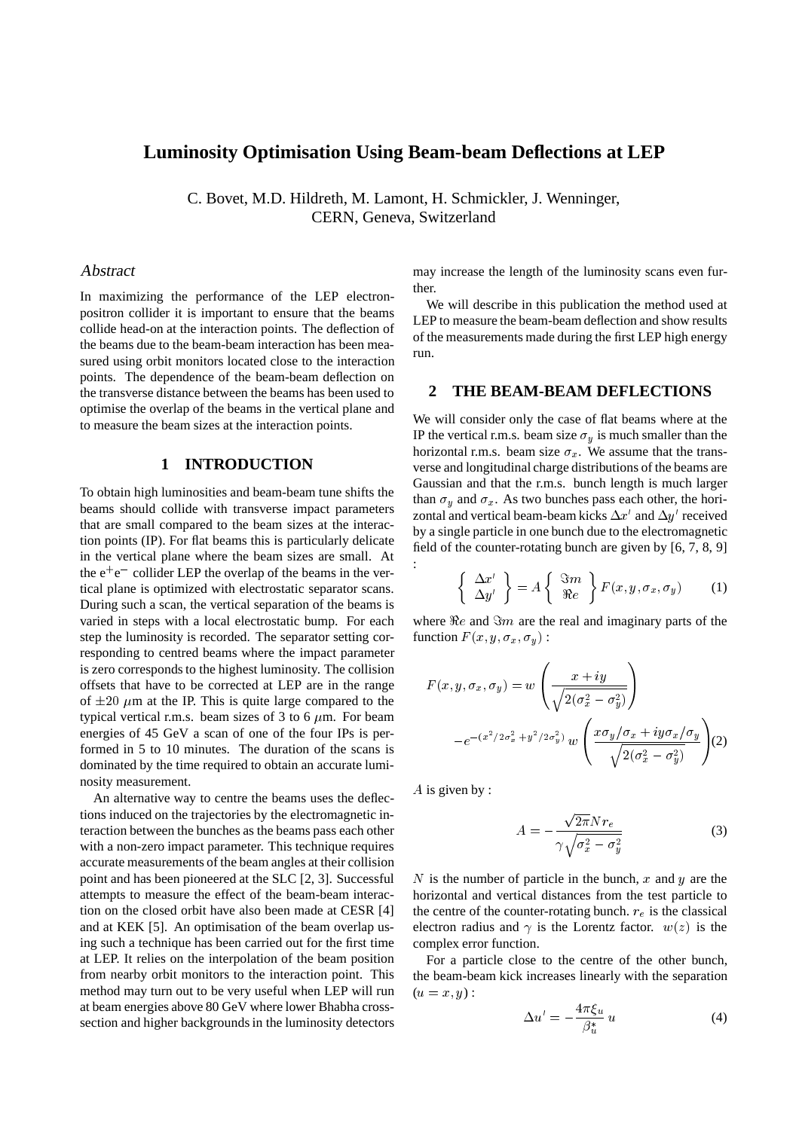# **Luminosity Optimisation Using Beam-beam Deflections at LEP**

C. Bovet, M.D. Hildreth, M. Lamont, H. Schmickler, J. Wenninger, CERN, Geneva, Switzerland

:

#### Abstract

In maximizing the performance of the LEP electronpositron collider it is important to ensure that the beams collide head-on at the interaction points. The deflection of the beams due to the beam-beam interaction has been measured using orbit monitors located close to the interaction points. The dependence of the beam-beam deflection on the transverse distance between the beams has been used to optimise the overlap of the beams in the vertical plane and to measure the beam sizes at the interaction points.

### **1 INTRODUCTION**

To obtain high luminosities and beam-beam tune shifts the beams should collide with transverse impact parameters that are small compared to the beam sizes at the interaction points (IP). For flat beams this is particularly delicate in the vertical plane where the beam sizes are small. At the  $e^+e^-$  collider LEP the overlap of the beams in the vertical plane is optimized with electrostatic separator scans. During such a scan, the vertical separation of the beams is varied in steps with a local electrostatic bump. For each step the luminosity is recorded. The separator setting corresponding to centred beams where the impact parameter is zero corresponds to the highest luminosity. The collision offsets that have to be corrected at LEP are in the range of  $\pm 20 \mu$ m at the IP. This is quite large compared to the typical vertical r.m.s. beam sizes of 3 to 6  $\mu$ m. For beam energies of 45 GeV a scan of one of the four IPs is performed in 5 to 10 minutes. The duration of the scans is dominated by the time required to obtain an accurate luminosity measurement.

An alternative way to centre the beams uses the deflections induced on the trajectories by the electromagnetic interaction between the bunches as the beams pass each other with a non-zero impact parameter. This technique requires accurate measurements of the beam angles at their collision point and has been pioneered at the SLC [2, 3]. Successful attempts to measure the effect of the beam-beam interaction on the closed orbit have also been made at CESR [4] and at KEK [5]. An optimisation of the beam overlap using such a technique has been carried out for the first time at LEP. It relies on the interpolation of the beam position from nearby orbit monitors to the interaction point. This method may turn out to be very useful when LEP will run at beam energies above 80 GeV where lower Bhabha crosssection and higher backgrounds in the luminosity detectors

may increase the length of the luminosity scans even further.

We will describe in this publication the method used at LEP to measure the beam-beam deflection and show results of the measurements made during the first LEP high energy run.

#### **2 THE BEAM-BEAM DEFLECTIONS**

We will consider only the case of flat beams where at the IP the vertical r.m.s. beam size  $\sigma<sub>y</sub>$  is much smaller than the horizontal r.m.s. beam size  $\sigma_x$ . We assume that the transverse and longitudinal charge distributions of the beams are Gaussian and that the r.m.s. bunch length is much larger than  $\sigma_y$  and  $\sigma_x$ . As two bunches pass each other, the horizontal and vertical beam-beam kicks  $\Delta x'$  and  $\Delta y'$  received by a single particle in one bunch due to the electromagnetic field of the counter-rotating bunch are given by [6, 7, 8, 9]

$$
\left\{\begin{array}{c} \Delta x' \\ \Delta y' \end{array}\right\} = A \left\{\begin{array}{c} \Im m \\ \Re e \end{array}\right\} F(x, y, \sigma_x, \sigma_y) \tag{1}
$$

where  $Re$  and  $Im$  are the real and imaginary parts of the function  $F(x, y, \sigma_x, \sigma_y)$ :

$$
F(x, y, \sigma_x, \sigma_y) = w \left( \frac{x + iy}{\sqrt{2(\sigma_x^2 - \sigma_y^2)}} \right)
$$

$$
-e^{-(x^2/2\sigma_x^2 + y^2/2\sigma_y^2)} w \left( \frac{x\sigma_y/\sigma_x + iy\sigma_x/\sigma_y}{\sqrt{2(\sigma_x^2 - \sigma_y^2)}} \right) (2)
$$

 $A$  is given by :

$$
A = -\frac{\sqrt{2\pi}Nr_e}{\gamma\sqrt{\sigma_x^2 - \sigma_y^2}}
$$
 (3)

 $N$  is the number of particle in the bunch,  $x$  and  $y$  are the horizontal and vertical distances from the test particle to the centre of the counter-rotating bunch.  $r_e$  is the classical electron radius and  $\gamma$  is the Lorentz factor.  $w(z)$  is the complex error function.

For a particle close to the centre of the other bunch, the beam-beam kick increases linearly with the separation  $(u=x, y)$ :

$$
\Delta u' = -\frac{4\pi\xi_u}{\beta_u^*} u \tag{4}
$$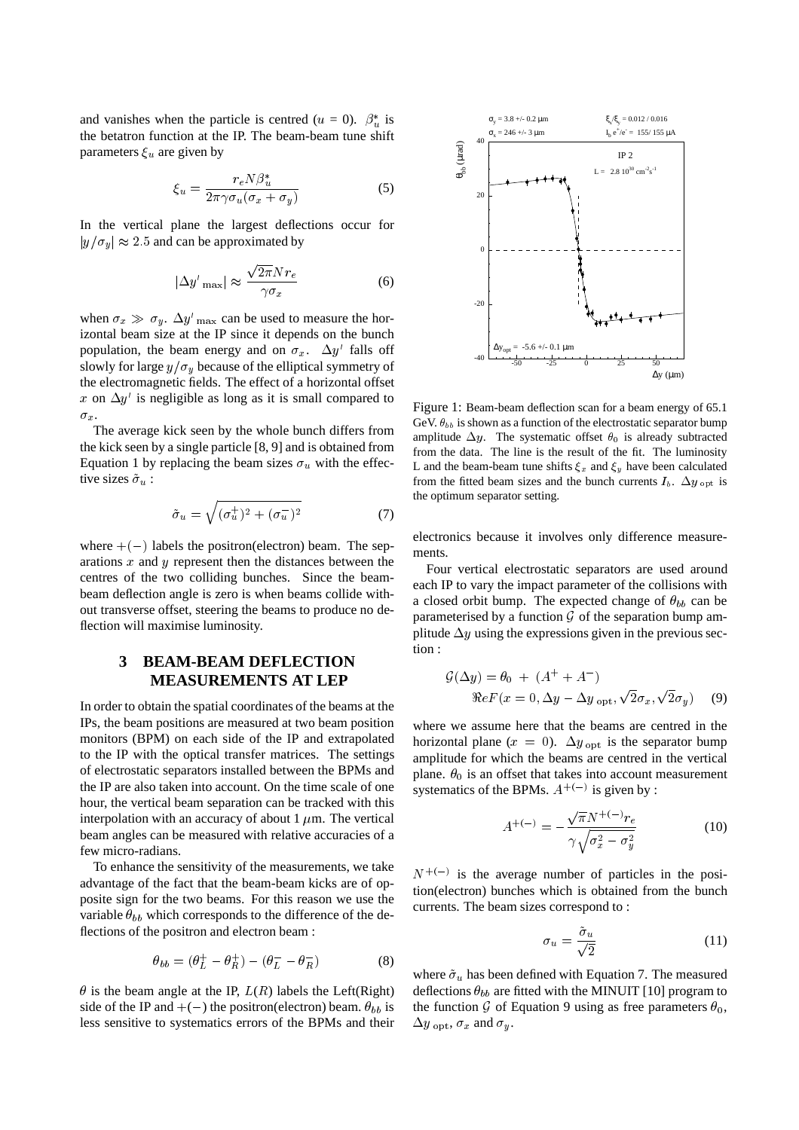and vanishes when the particle is centred ( $u = 0$ ).  $\beta_u^*$  is the betatron function at the IP. The beam-beam tune shift parameters  $\xi_u$  are given by

$$
\xi_u = \frac{r_e N \beta_u^*}{2\pi \gamma \sigma_u (\sigma_x + \sigma_y)}\tag{5}
$$

In the vertical plane the largest deflections occur for  $|y/\sigma_y| \approx 2.5$  and can be approximated by

$$
|\Delta y'_{\text{max}}| \approx \frac{\sqrt{2\pi} N r_e}{\gamma \sigma_x} \tag{6}
$$

when  $\sigma_x \gg \sigma_y$ .  $\Delta y'$ <sub>max</sub> can be used to measure the horizontal beam size at the IP since it depends on the bunch population, the beam energy and on  $\sigma_x$ .  $\Delta y'$  falls off slowly for large  $y/\sigma_y$  because of the elliptical symmetry of the electromagnetic fields. The effect of a horizontal offset x on  $\Delta y'$  is negligible as long as it is small compared to  $\sigma_x$ .

The average kick seen by the whole bunch differs from the kick seen by a single particle [8, 9] and is obtained from Equation 1 by replacing the beam sizes  $\sigma_u$  with the effective sizes  $\tilde{\sigma}_u$ :

$$
\tilde{\sigma}_u = \sqrt{(\sigma_u^+)^2 + (\sigma_u^-)^2} \tag{7}
$$

where  $+(-)$  labels the positron(electron) beam. The separations  $x$  and  $y$  represent then the distances between the centres of the two colliding bunches. Since the beambeam deflection angle is zero is when beams collide without transverse offset, steering the beams to produce no deflection will maximise luminosity.

## **3 BEAM-BEAM DEFLECTION MEASUREMENTS AT LEP**

In order to obtain the spatial coordinates of the beams at the IPs, the beam positions are measured at two beam position monitors (BPM) on each side of the IP and extrapolated to the IP with the optical transfer matrices. The settings of electrostatic separators installed between the BPMs and the IP are also taken into account. On the time scale of one hour, the vertical beam separation can be tracked with this interpolation with an accuracy of about 1  $\mu$ m. The vertical beam angles can be measured with relative accuracies of a few micro-radians.

To enhance the sensitivity of the measurements, we take advantage of the fact that the beam-beam kicks are of opposite sign for the two beams. For this reason we use the variable  $\theta_{bb}$  which corresponds to the difference of the deflections of the positron and electron beam :

$$
\theta_{bb} = (\theta_L^+ - \theta_R^+) - (\theta_L^- - \theta_R^-)
$$
 (8)

 $\theta$  is the beam angle at the IP,  $L(R)$  labels the Left(Right) side of the IP and  $+(-)$  the positron(electron) beam.  $\theta_{bb}$  is less sensitive to systematics errors of the BPMs and their



Figure 1: Beam-beam deflection scan for a beam energy of 65.1 GeV.  $\theta_{bb}$  is shown as a function of the electrostatic separator bump amplitude  $\Delta y$ . The systematic offset  $\theta_0$  is already subtracted from the data. The line is the result of the fit. The luminosity L and the beam-beam tune shifts  $\xi_x$  and  $\xi_y$  have been calculated from the fitted beam sizes and the bunch currents  $I_b$ .  $\Delta y_{\text{opt}}$  is the optimum separator setting.

electronics because it involves only difference measurements.

Four vertical electrostatic separators are used around each IP to vary the impact parameter of the collisions with a closed orbit bump. The expected change of  $\theta_{bb}$  can be parameterised by a function  $G$  of the separation bump amplitude  $\Delta y$  using the expressions given in the previous section :

$$
\mathcal{G}(\Delta y) = \theta_0 + (A^+ + A^-)
$$
  
\n
$$
\Re eF(x = 0, \Delta y - \Delta y_{\text{opt}}, \sqrt{2}\sigma_x, \sqrt{2}\sigma_y)
$$
 (9)

where we assume here that the beams are centred in the horizontal plane ( $x = 0$ ).  $\Delta y_{opt}$  is the separator bump amplitude for which the beams are centred in the vertical plane.  $\theta_0$  is an offset that takes into account measurement systematics of the BPMs.  $A^{+(-)}$  is given by :

$$
A^{+(-)} = -\frac{\sqrt{\pi}N^{+(-)}r_e}{\gamma\sqrt{\sigma_x^2 - \sigma_y^2}}
$$
 (10)

 $N^{+(-)}$  is the average number of particles in the position(electron) bunches which is obtained from the bunch currents. The beam sizes correspond to :

$$
\sigma_u = \frac{\tilde{\sigma}_u}{\sqrt{2}} \tag{11}
$$

where  $\tilde{\sigma}_u$  has been defined with Equation 7. The measured deflections  $\theta_{bb}$  are fitted with the MINUIT [10] program to the function G of Equation 9 using as free parameters  $\theta_0$ ,  $\Delta y$  <sub>opt</sub>,  $\sigma_x$  and  $\sigma_y$ .